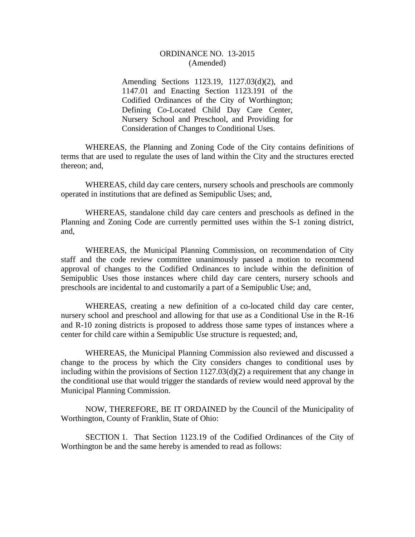#### ORDINANCE NO. 13-2015 (Amended)

Amending Sections 1123.19, 1127.03(d)(2), and 1147.01 and Enacting Section 1123.191 of the Codified Ordinances of the City of Worthington; Defining Co-Located Child Day Care Center, Nursery School and Preschool, and Providing for Consideration of Changes to Conditional Uses.

WHEREAS, the Planning and Zoning Code of the City contains definitions of terms that are used to regulate the uses of land within the City and the structures erected thereon; and,

WHEREAS, child day care centers, nursery schools and preschools are commonly operated in institutions that are defined as Semipublic Uses; and,

WHEREAS, standalone child day care centers and preschools as defined in the Planning and Zoning Code are currently permitted uses within the S-1 zoning district, and,

WHEREAS, the Municipal Planning Commission, on recommendation of City staff and the code review committee unanimously passed a motion to recommend approval of changes to the Codified Ordinances to include within the definition of Semipublic Uses those instances where child day care centers, nursery schools and preschools are incidental to and customarily a part of a Semipublic Use; and,

WHEREAS, creating a new definition of a co-located child day care center, nursery school and preschool and allowing for that use as a Conditional Use in the R-16 and R-10 zoning districts is proposed to address those same types of instances where a center for child care within a Semipublic Use structure is requested; and,

WHEREAS, the Municipal Planning Commission also reviewed and discussed a change to the process by which the City considers changes to conditional uses by including within the provisions of Section 1127.03(d)(2) a requirement that any change in the conditional use that would trigger the standards of review would need approval by the Municipal Planning Commission.

 NOW, THEREFORE, BE IT ORDAINED by the Council of the Municipality of Worthington, County of Franklin, State of Ohio:

 SECTION 1. That Section 1123.19 of the Codified Ordinances of the City of Worthington be and the same hereby is amended to read as follows: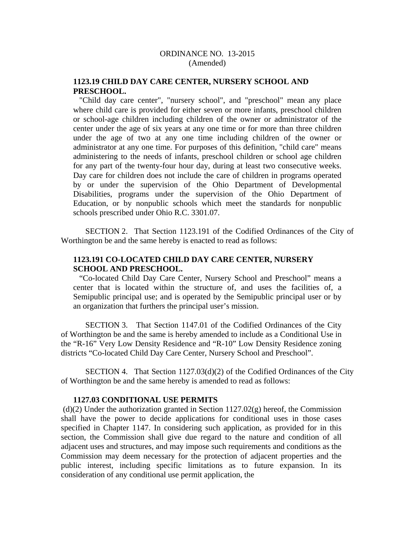# **1123.19 CHILD DAY CARE CENTER, NURSERY SCHOOL AND PRESCHOOL.**

 "Child day care center", "nursery school", and "preschool" mean any place where child care is provided for either seven or more infants, preschool children or school-age children including children of the owner or administrator of the center under the age of six years at any one time or for more than three children under the age of two at any one time including children of the owner or administrator at any one time. For purposes of this definition, "child care" means administering to the needs of infants, preschool children or school age children for any part of the twenty-four hour day, during at least two consecutive weeks. Day care for children does not include the care of children in programs operated by or under the supervision of the Ohio Department of Developmental Disabilities, programs under the supervision of the Ohio Department of Education, or by nonpublic schools which meet the standards for nonpublic schools prescribed under Ohio R.C. 3301.07.

 SECTION 2. That Section 1123.191 of the Codified Ordinances of the City of Worthington be and the same hereby is enacted to read as follows:

## **1123.191 CO-LOCATED CHILD DAY CARE CENTER, NURSERY SCHOOL AND PRESCHOOL.**

 "Co-located Child Day Care Center, Nursery School and Preschool" means a center that is located within the structure of, and uses the facilities of, a Semipublic principal use; and is operated by the Semipublic principal user or by an organization that furthers the principal user's mission.

 SECTION 3. That Section 1147.01 of the Codified Ordinances of the City of Worthington be and the same is hereby amended to include as a Conditional Use in the "R-16" Very Low Density Residence and "R-10" Low Density Residence zoning districts "Co-located Child Day Care Center, Nursery School and Preschool".

 SECTION 4. That Section 1127.03(d)(2) of the Codified Ordinances of the City of Worthington be and the same hereby is amended to read as follows:

#### **1127.03 CONDITIONAL USE PERMITS**

 $(d)(2)$  Under the authorization granted in Section 1127.02(g) hereof, the Commission shall have the power to decide applications for conditional uses in those cases specified in Chapter 1147. In considering such application, as provided for in this section, the Commission shall give due regard to the nature and condition of all adjacent uses and structures, and may impose such requirements and conditions as the Commission may deem necessary for the protection of adjacent properties and the public interest, including specific limitations as to future expansion. In its consideration of any conditional use permit application, the